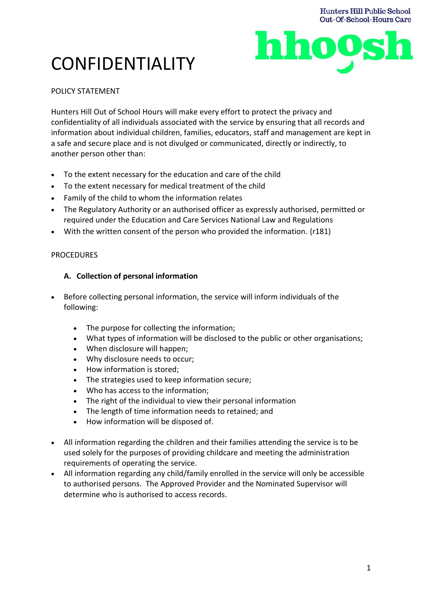

# CONFIDENTIALITY

# POLICY STATEMENT

Hunters Hill Out of School Hours will make every effort to protect the privacy and confidentiality of all individuals associated with the service by ensuring that all records and information about individual children, families, educators, staff and management are kept in a safe and secure place and is not divulged or communicated, directly or indirectly, to another person other than:

- To the extent necessary for the education and care of the child
- To the extent necessary for medical treatment of the child
- Family of the child to whom the information relates
- The Regulatory Authority or an authorised officer as expressly authorised, permitted or required under the Education and Care Services National Law and Regulations
- With the written consent of the person who provided the information. (r181)

### PROCEDURES

# **A. Collection of personal information**

- Before collecting personal information, the service will inform individuals of the following:
	- The purpose for collecting the information;
	- What types of information will be disclosed to the public or other organisations;
	- When disclosure will happen;
	- Why disclosure needs to occur;
	- How information is stored;
	- The strategies used to keep information secure;
	- Who has access to the information;
	- The right of the individual to view their personal information
	- The length of time information needs to retained; and
	- How information will be disposed of.
- All information regarding the children and their families attending the service is to be used solely for the purposes of providing childcare and meeting the administration requirements of operating the service.
- All information regarding any child/family enrolled in the service will only be accessible to authorised persons. The Approved Provider and the Nominated Supervisor will determine who is authorised to access records.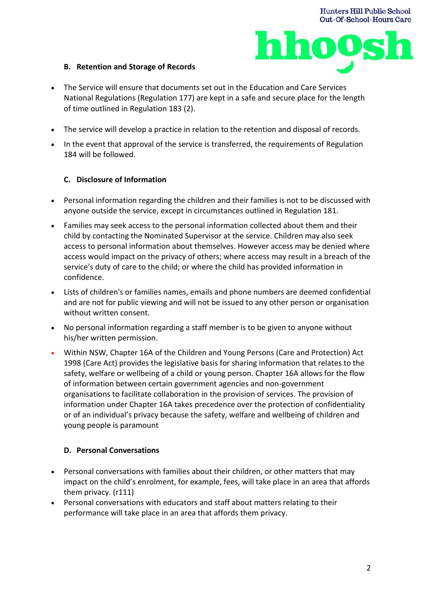

# **B. Retention and Storage of Records**

- The Service will ensure that documents set out in the Education and Care Services National Regulations (Regulation 177) are kept in a safe and secure place for the length of time outlined in Regulation 183 (2).
- The service will develop a practice in relation to the retention and disposal of records.
- In the event that approval of the service is transferred, the requirements of Regulation 184 will be followed.

### **C. Disclosure of Information**

- Personal information regarding the children and their families is not to be discussed with anyone outside the service, except in circumstances outlined in Regulation 181.
- Families may seek access to the personal information collected about them and their child by contacting the Nominated Supervisor at the service. Children may also seek access to personal information about themselves. However access may be denied where access would impact on the privacy of others; where access may result in a breach of the service's duty of care to the child; or where the child has provided information in confidence.
- Lists of children's or families names, emails and phone numbers are deemed confidential and are not for public viewing and will not be issued to any other person or organisation without written consent.
- No personal information regarding a staff member is to be given to anyone without his/her written permission.
- Within NSW, Chapter 16A of the Children and Young Persons (Care and Protection) Act 1998 (Care Act) provides the legislative basis for sharing information that relates to the safety, welfare or wellbeing of a child or young person. Chapter 16A allows for the flow of information between certain government agencies and non-government organisations to facilitate collaboration in the provision of services. The provision of information under Chapter 16A takes precedence over the protection of confidentiality or of an individual's privacy because the safety, welfare and wellbeing of children and young people is paramount

#### **D. Personal Conversations**

- Personal conversations with families about their children, or other matters that may impact on the child's enrolment, for example, fees, will take place in an area that affords them privacy. (r111)
- Personal conversations with educators and staff about matters relating to their performance will take place in an area that affords them privacy.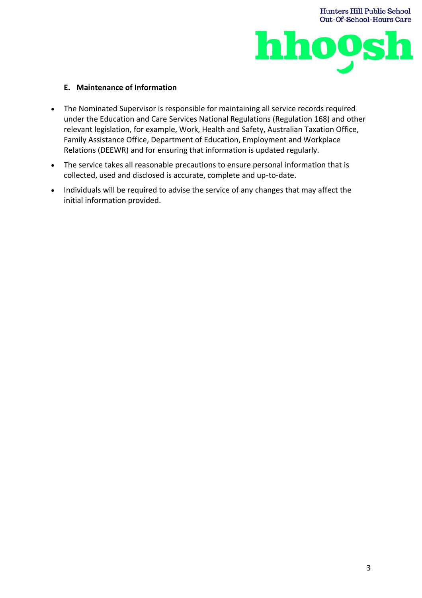

### **E. Maintenance of Information**

- The Nominated Supervisor is responsible for maintaining all service records required under the Education and Care Services National Regulations (Regulation 168) and other relevant legislation, for example, Work, Health and Safety, Australian Taxation Office, Family Assistance Office, Department of Education, Employment and Workplace Relations (DEEWR) and for ensuring that information is updated regularly.
- The service takes all reasonable precautions to ensure personal information that is collected, used and disclosed is accurate, complete and up-to-date.
- Individuals will be required to advise the service of any changes that may affect the initial information provided.